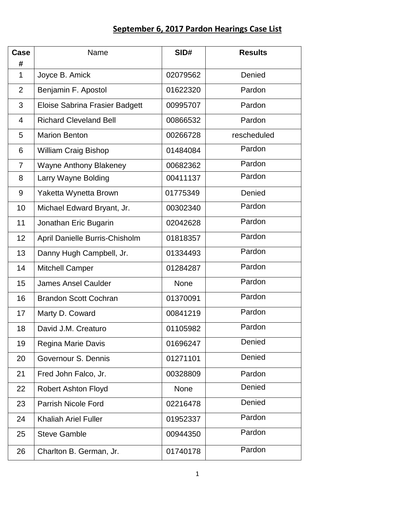## **September 6, 2017 Pardon Hearings Case List**

| Case<br>#      | Name                                  | SID#        | <b>Results</b> |
|----------------|---------------------------------------|-------------|----------------|
| $\mathbf{1}$   | Joyce B. Amick                        | 02079562    | Denied         |
| $\overline{2}$ | Benjamin F. Apostol                   | 01622320    | Pardon         |
| 3              | <b>Eloise Sabrina Frasier Badgett</b> | 00995707    | Pardon         |
| 4              | <b>Richard Cleveland Bell</b>         | 00866532    | Pardon         |
| 5              | <b>Marion Benton</b>                  | 00266728    | rescheduled    |
| 6              | <b>William Craig Bishop</b>           | 01484084    | Pardon         |
| 7              | <b>Wayne Anthony Blakeney</b>         | 00682362    | Pardon         |
| 8              | Larry Wayne Bolding                   | 00411137    | Pardon         |
| 9              | Yaketta Wynetta Brown                 | 01775349    | Denied         |
| 10             | Michael Edward Bryant, Jr.            | 00302340    | Pardon         |
| 11             | Jonathan Eric Bugarin                 | 02042628    | Pardon         |
| 12             | April Danielle Burris-Chisholm        | 01818357    | Pardon         |
| 13             | Danny Hugh Campbell, Jr.              | 01334493    | Pardon         |
| 14             | <b>Mitchell Camper</b>                | 01284287    | Pardon         |
| 15             | <b>James Ansel Caulder</b>            | <b>None</b> | Pardon         |
| 16             | <b>Brandon Scott Cochran</b>          | 01370091    | Pardon         |
| 17             | Marty D. Coward                       | 00841219    | Pardon         |
| 18             | David J.M. Creaturo                   | 01105982    | Pardon         |
| 19             | Regina Marie Davis                    | 01696247    | Denied         |
| 20             | Governour S. Dennis                   | 01271101    | Denied         |
| 21             | Fred John Falco, Jr.                  | 00328809    | Pardon         |
| 22             | <b>Robert Ashton Floyd</b>            | None        | Denied         |
| 23             | <b>Parrish Nicole Ford</b>            | 02216478    | Denied         |
| 24             | <b>Khaliah Ariel Fuller</b>           | 01952337    | Pardon         |
| 25             | <b>Steve Gamble</b>                   | 00944350    | Pardon         |
| 26             | Charlton B. German, Jr.               | 01740178    | Pardon         |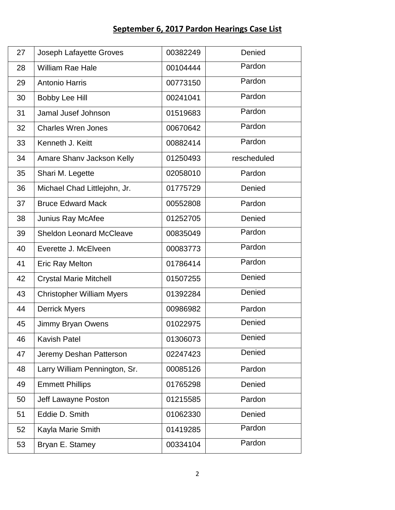## **September 6, 2017 Pardon Hearings Case List**

| 27 | Joseph Lafayette Groves          | 00382249 | Denied      |
|----|----------------------------------|----------|-------------|
|    |                                  |          |             |
| 28 | <b>William Rae Hale</b>          | 00104444 | Pardon      |
| 29 | <b>Antonio Harris</b>            | 00773150 | Pardon      |
| 30 | <b>Bobby Lee Hill</b>            | 00241041 | Pardon      |
| 31 | Jamal Jusef Johnson              | 01519683 | Pardon      |
| 32 | <b>Charles Wren Jones</b>        | 00670642 | Pardon      |
| 33 | Kenneth J. Keitt                 | 00882414 | Pardon      |
| 34 | Amare Shany Jackson Kelly        | 01250493 | rescheduled |
| 35 | Shari M. Legette                 | 02058010 | Pardon      |
| 36 | Michael Chad Littlejohn, Jr.     | 01775729 | Denied      |
| 37 | <b>Bruce Edward Mack</b>         | 00552808 | Pardon      |
| 38 | Junius Ray McAfee                | 01252705 | Denied      |
| 39 | <b>Sheldon Leonard McCleave</b>  | 00835049 | Pardon      |
| 40 | Everette J. McElveen             | 00083773 | Pardon      |
| 41 | <b>Eric Ray Melton</b>           | 01786414 | Pardon      |
| 42 | <b>Crystal Marie Mitchell</b>    | 01507255 | Denied      |
| 43 | <b>Christopher William Myers</b> | 01392284 | Denied      |
| 44 | <b>Derrick Myers</b>             | 00986982 | Pardon      |
| 45 | Jimmy Bryan Owens                | 01022975 | Denied      |
| 46 | <b>Kavish Patel</b>              | 01306073 | Denied      |
| 47 | Jeremy Deshan Patterson          | 02247423 | Denied      |
| 48 | Larry William Pennington, Sr.    | 00085126 | Pardon      |
| 49 | <b>Emmett Phillips</b>           | 01765298 | Denied      |
| 50 | Jeff Lawayne Poston              | 01215585 | Pardon      |
| 51 | Eddie D. Smith                   | 01062330 | Denied      |
| 52 | Kayla Marie Smith                | 01419285 | Pardon      |
| 53 | Bryan E. Stamey                  | 00334104 | Pardon      |